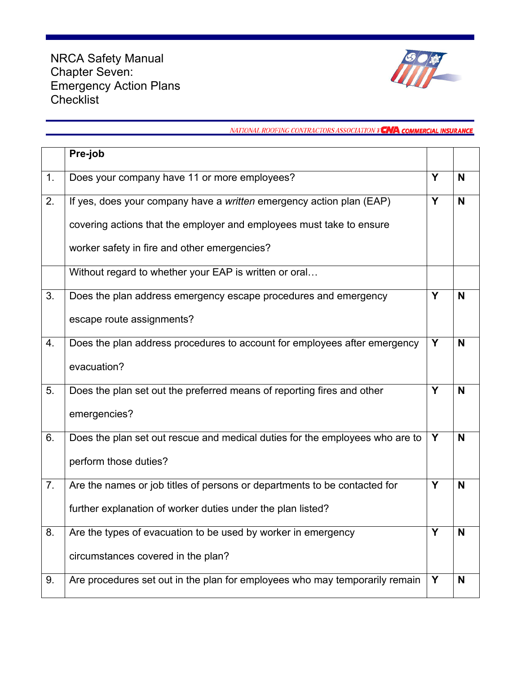

## NATIONAL ROOFING CONTRACTORS ASSOCIATION Y CAA COMMERCIAL INSURANCE

|    | Pre-job                                                                      |   |   |
|----|------------------------------------------------------------------------------|---|---|
| 1. | Does your company have 11 or more employees?                                 | Y | N |
| 2. | If yes, does your company have a <i>written</i> emergency action plan (EAP)  | Y | N |
|    | covering actions that the employer and employees must take to ensure         |   |   |
|    | worker safety in fire and other emergencies?                                 |   |   |
|    | Without regard to whether your EAP is written or oral                        |   |   |
| 3. | Does the plan address emergency escape procedures and emergency              | Y | N |
|    | escape route assignments?                                                    |   |   |
| 4. | Does the plan address procedures to account for employees after emergency    | Y | N |
|    | evacuation?                                                                  |   |   |
| 5. | Does the plan set out the preferred means of reporting fires and other       | Υ | N |
|    | emergencies?                                                                 |   |   |
| 6. | Does the plan set out rescue and medical duties for the employees who are to | Y | N |
|    | perform those duties?                                                        |   |   |
| 7. | Are the names or job titles of persons or departments to be contacted for    | Y | N |
|    | further explanation of worker duties under the plan listed?                  |   |   |
| 8. | Are the types of evacuation to be used by worker in emergency                | Υ | N |
|    | circumstances covered in the plan?                                           |   |   |
| 9. | Are procedures set out in the plan for employees who may temporarily remain  | Y | N |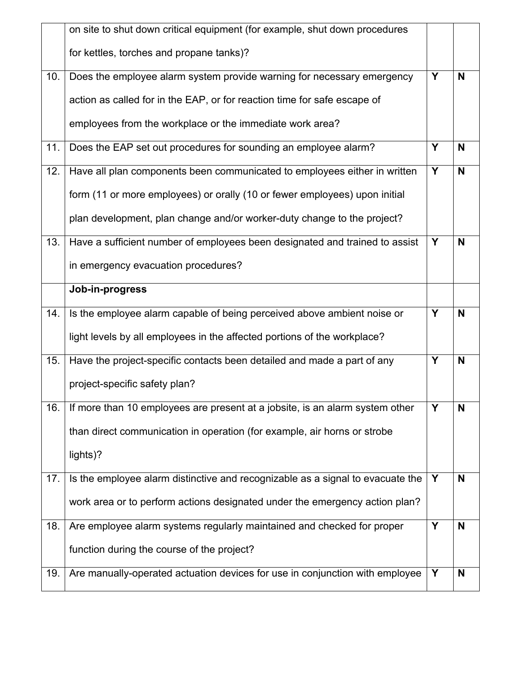|     | on site to shut down critical equipment (for example, shut down procedures     |   |   |
|-----|--------------------------------------------------------------------------------|---|---|
|     | for kettles, torches and propane tanks)?                                       |   |   |
| 10. | Does the employee alarm system provide warning for necessary emergency         | Y | N |
|     | action as called for in the EAP, or for reaction time for safe escape of       |   |   |
|     | employees from the workplace or the immediate work area?                       |   |   |
| 11. | Does the EAP set out procedures for sounding an employee alarm?                | Y | N |
| 12. | Have all plan components been communicated to employees either in written      | Y | N |
|     | form (11 or more employees) or orally (10 or fewer employees) upon initial     |   |   |
|     | plan development, plan change and/or worker-duty change to the project?        |   |   |
| 13. | Have a sufficient number of employees been designated and trained to assist    | Y | N |
|     | in emergency evacuation procedures?                                            |   |   |
|     | Job-in-progress                                                                |   |   |
| 14. | Is the employee alarm capable of being perceived above ambient noise or        | Y | N |
|     | light levels by all employees in the affected portions of the workplace?       |   |   |
| 15. |                                                                                |   |   |
|     | Have the project-specific contacts been detailed and made a part of any        | Y | N |
|     | project-specific safety plan?                                                  |   |   |
| 16. | If more than 10 employees are present at a jobsite, is an alarm system other   | Υ | N |
|     |                                                                                |   |   |
|     | than direct communication in operation (for example, air horns or strobe       |   |   |
|     | lights)?                                                                       |   |   |
| 17. | Is the employee alarm distinctive and recognizable as a signal to evacuate the | Y | N |
|     | work area or to perform actions designated under the emergency action plan?    |   |   |
| 18. | Are employee alarm systems regularly maintained and checked for proper         | Y | N |
|     | function during the course of the project?                                     |   |   |